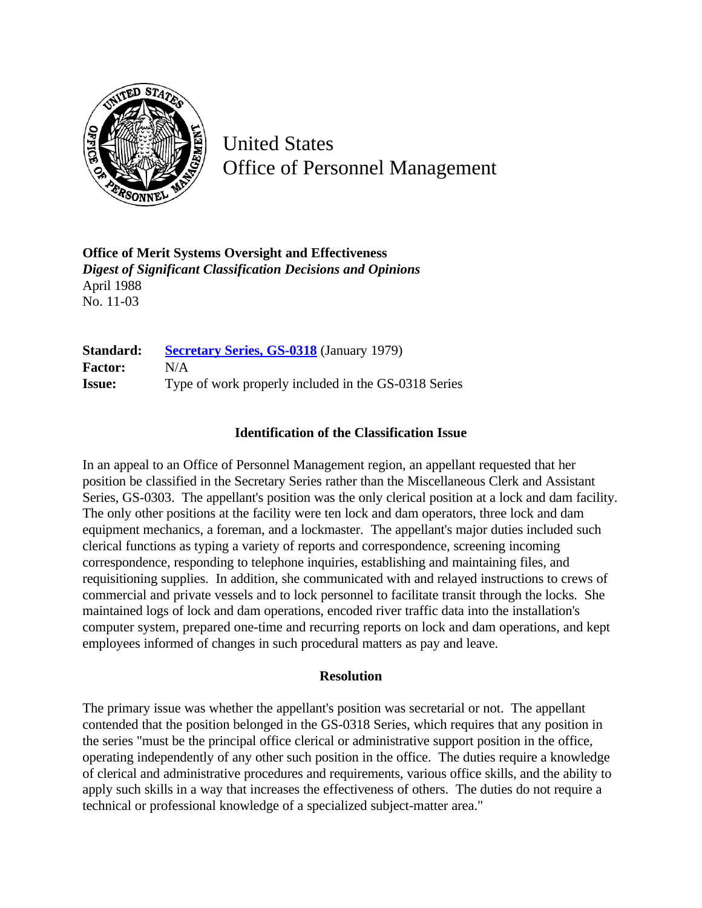

United States Office of Personnel Management

**Office of Merit Systems Oversight and Effectiveness** *Digest of Significant Classification Decisions and Opinions* April 1988 No. 11-03

**Standard: [Secretary Series, GS-0318](http://www.opm.gov/hr/fedclass/gs0318.pdf)** (January 1979) **Factor:** N/A **Issue:** Type of work properly included in the GS-0318 Series

## **Identification of the Classification Issue**

In an appeal to an Office of Personnel Management region, an appellant requested that her position be classified in the Secretary Series rather than the Miscellaneous Clerk and Assistant Series, GS-0303. The appellant's position was the only clerical position at a lock and dam facility. The only other positions at the facility were ten lock and dam operators, three lock and dam equipment mechanics, a foreman, and a lockmaster. The appellant's major duties included such clerical functions as typing a variety of reports and correspondence, screening incoming correspondence, responding to telephone inquiries, establishing and maintaining files, and requisitioning supplies. In addition, she communicated with and relayed instructions to crews of commercial and private vessels and to lock personnel to facilitate transit through the locks. She maintained logs of lock and dam operations, encoded river traffic data into the installation's computer system, prepared one-time and recurring reports on lock and dam operations, and kept employees informed of changes in such procedural matters as pay and leave.

## **Resolution**

The primary issue was whether the appellant's position was secretarial or not. The appellant contended that the position belonged in the GS-0318 Series, which requires that any position in the series "must be the principal office clerical or administrative support position in the office, operating independently of any other such position in the office. The duties require a knowledge of clerical and administrative procedures and requirements, various office skills, and the ability to apply such skills in a way that increases the effectiveness of others. The duties do not require a technical or professional knowledge of a specialized subject-matter area."